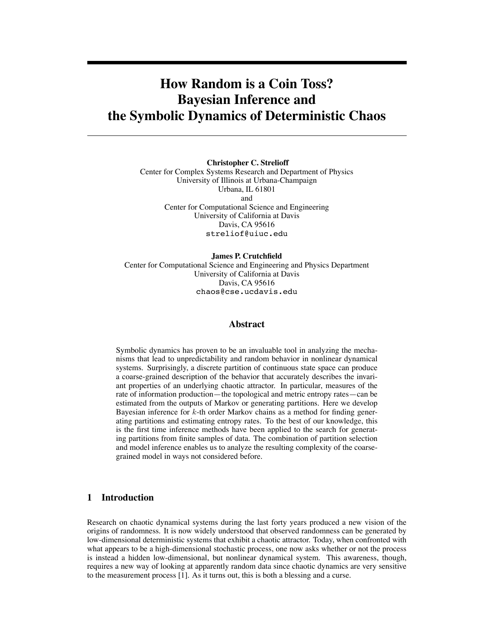# **How Random is a Coin Toss? Bayesian Inference and the Symbolic Dynamics of Deterministic Chaos**

**Christopher C. Strelioff** Center for Complex Systems Research and Department of Physics University of Illinois at Urbana-Champaign Urbana, IL 61801 and Center for Computational Science and Engineering University of California at Davis Davis, CA 95616 streliof@uiuc.edu

**James P. Crutchfield** Center for Computational Science and Engineering and Physics Department University of California at Davis Davis, CA 95616 chaos@cse.ucdavis.edu

# **Abstract**

Symbolic dynamics has proven to be an invaluable tool in analyzing the mechanisms that lead to unpredictability and random behavior in nonlinear dynamical systems. Surprisingly, a discrete partition of continuous state space can produce a coarse-grained description of the behavior that accurately describes the invariant properties of an underlying chaotic attractor. In particular, measures of the rate of information production—the topological and metric entropy rates—can be estimated from the outputs of Markov or generating partitions. Here we develop Bayesian inference for  $k$ -th order Markov chains as a method for finding generating partitions and estimating entropy rates. To the best of our knowledge, this is the first time inference methods have been applied to the search for generating partitions from finite samples of data. The combination of partition selection and model inference enables us to analyze the resulting complexity of the coarsegrained model in ways not considered before.

# **1 Introduction**

Research on chaotic dynamical systems during the last forty years produced a new vision of the origins of randomness. It is now widely understood that observed randomness can be generated by low-dimensional deterministic systems that exhibit a chaotic attractor. Today, when confronted with what appears to be a high-dimensional stochastic process, one now asks whether or not the process is instead a hidden low-dimensional, but nonlinear dynamical system. This awareness, though, requires a new way of looking at apparently random data since chaotic dynamics are very sensitive to the measurement process [1]. As it turns out, this is both a blessing and a curse.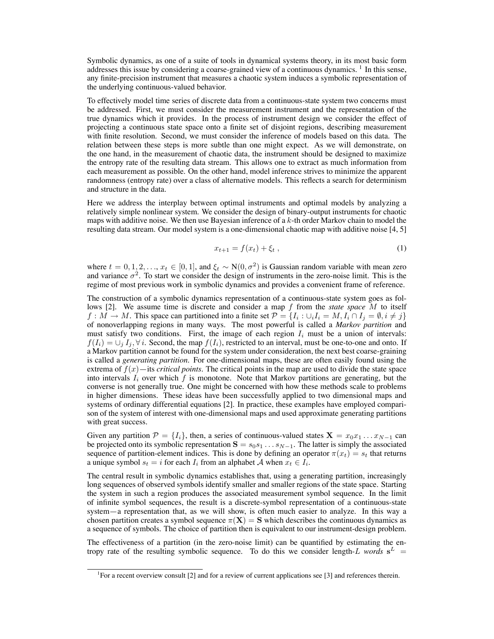Symbolic dynamics, as one of a suite of tools in dynamical systems theory, in its most basic form addresses this issue by considering a coarse-grained view of a continuous dynamics.<sup>1</sup> In this sense, any finite-precision instrument that measures a chaotic system induces a symbolic representation of the underlying continuous-valued behavior.

To effectively model time series of discrete data from a continuous-state system two concerns must be addressed. First, we must consider the measurement instrument and the representation of the true dynamics which it provides. In the process of instrument design we consider the effect of projecting a continuous state space onto a finite set of disjoint regions, describing measurement with finite resolution. Second, we must consider the inference of models based on this data. The relation between these steps is more subtle than one might expect. As we will demonstrate, on the one hand, in the measurement of chaotic data, the instrument should be designed to maximize the entropy rate of the resulting data stream. This allows one to extract as much information from each measurement as possible. On the other hand, model inference strives to minimize the apparent randomness (entropy rate) over a class of alternative models. This reflects a search for determinism and structure in the data.

Here we address the interplay between optimal instruments and optimal models by analyzing a relatively simple nonlinear system. We consider the design of binary-output instruments for chaotic maps with additive noise. We then use Bayesian inference of a  $k$ -th order Markov chain to model the resulting data stream. Our model system is a one-dimensional chaotic map with additive noise [4, 5]

$$
x_{t+1} = f(x_t) + \xi_t \,, \tag{1}
$$

where  $t = 0, 1, 2, \ldots, x_t \in [0, 1]$ , and  $\xi_t \sim N(0, \sigma^2)$  is Gaussian random variable with mean zero and variance  $\sigma^2$ . To start we consider the design of instruments in the zero-noise limit. This is the regime of most previous work in symbolic dynamics and provides a convenient frame of reference.

The construction of a symbolic dynamics representation of a continuous-state system goes as follows [2]. We assume time is discrete and consider a map f from the *state space* M to itself  $f: M \to M$ . This space can partitioned into a finite set  $\mathcal{P} = \{I_i : \bigcup_i I_i = M, I_i \cap I_j = \emptyset, i \neq j\}$ of nonoverlapping regions in many ways. The most powerful is called a *Markov partition* and must satisfy two conditions. First, the image of each region  $I_i$  must be a union of intervals:  $f(I_i) = \bigcup_i I_i, \forall i$ . Second, the map  $f(I_i)$ , restricted to an interval, must be one-to-one and onto. If a Markov partition cannot be found for the system under consideration, the next best coarse-graining is called a *generating partition*. For one-dimensional maps, these are often easily found using the extrema of  $f(x)$ —its *critical points*. The critical points in the map are used to divide the state space into intervals  $I_i$  over which f is monotone. Note that Markov partitions are generating, but the converse is not generally true. One might be concerned with how these methods scale to problems in higher dimensions. These ideas have been successfully applied to two dimensional maps and systems of ordinary differential equations [2]. In practice, these examples have employed comparison of the system of interest with one-dimensional maps and used approximate generating partitions with great success.

Given any partition  $\mathcal{P} = \{I_i\}$ , then, a series of continuous-valued states  $\mathbf{X} = x_0 x_1 \dots x_{N-1}$  can be projected onto its symbolic representation  $S = s_0s_1 \dots s_{N-1}$ . The latter is simply the associated sequence of partition-element indices. This is done by defining an operator  $\pi(x_t) = s_t$  that returns a unique symbol  $s_t = i$  for each  $I_i$  from an alphabet A when  $x_t \in I_i$ .

The central result in symbolic dynamics establishes that, using a generating partition, increasingly long sequences of observed symbols identify smaller and smaller regions of the state space. Starting the system in such a region produces the associated measurement symbol sequence. In the limit of infinite symbol sequences, the result is a discrete-symbol representation of a continuous-state system—a representation that, as we will show, is often much easier to analyze. In this way a chosen partition creates a symbol sequence  $\pi(X) = S$  which describes the continuous dynamics as a sequence of symbols. The choice of partition then is equivalent to our instrument-design problem.

The effectiveness of a partition (in the zero-noise limit) can be quantified by estimating the entropy rate of the resulting symbolic sequence. To do this we consider length-L *words*  $s^L$  =

<sup>&</sup>lt;sup>1</sup> For a recent overview consult [2] and for a review of current applications see [3] and references therein.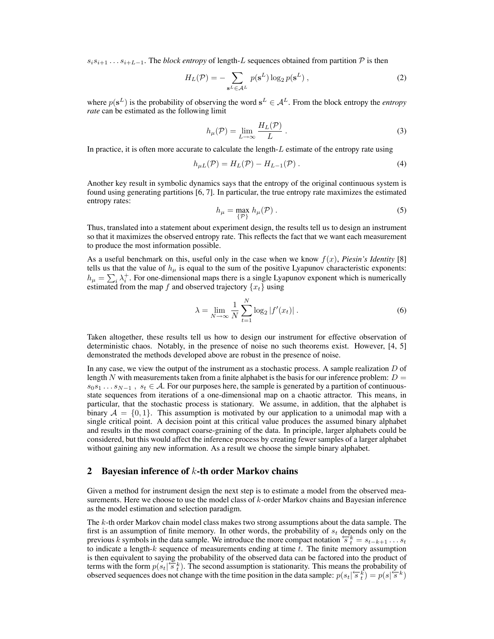$s_i s_{i+1} \ldots s_{i+L-1}$ . The *block entropy* of length-L sequences obtained from partition P is then

$$
H_L(\mathcal{P}) = -\sum_{\mathbf{s}^L \in \mathcal{A}^L} p(\mathbf{s}^L) \log_2 p(\mathbf{s}^L) ,
$$
 (2)

where  $p(s^L)$  is the probability of observing the word  $s^L \in A^L$ . From the block entropy the *entropy rate* can be estimated as the following limit

$$
h_{\mu}(\mathcal{P}) = \lim_{L \to \infty} \frac{H_L(\mathcal{P})}{L} \,. \tag{3}
$$

In practice, it is often more accurate to calculate the length-L estimate of the entropy rate using

$$
h_{\mu L}(\mathcal{P}) = H_L(\mathcal{P}) - H_{L-1}(\mathcal{P})\,. \tag{4}
$$

Another key result in symbolic dynamics says that the entropy of the original continuous system is found using generating partitions [6, 7]. In particular, the true entropy rate maximizes the estimated entropy rates:

$$
h_{\mu} = \max_{\{\mathcal{P}\}} h_{\mu}(\mathcal{P}) . \tag{5}
$$

Thus, translated into a statement about experiment design, the results tell us to design an instrument so that it maximizes the observed entropy rate. This reflects the fact that we want each measurement to produce the most information possible.

As a useful benchmark on this, useful only in the case when we know  $f(x)$ , *Piesin's Identity* [8] tells us that the value of  $h_{\mu}$  is equal to the sum of the positive Lyapunov characteristic exponents:  $h_{\mu} = \sum_i \lambda_i^+$ . For one-dimensional maps there is a single Lyapunov exponent which is numerically estimated from the map f and observed trajectory  $\{x_t\}$  using

$$
\lambda = \lim_{N \to \infty} \frac{1}{N} \sum_{t=1}^{N} \log_2 |f'(x_t)|.
$$
 (6)

Taken altogether, these results tell us how to design our instrument for effective observation of deterministic chaos. Notably, in the presence of noise no such theorems exist. However, [4, 5] demonstrated the methods developed above are robust in the presence of noise.

In any case, we view the output of the instrument as a stochastic process. A sample realization  $D$  of length N with measurements taken from a finite alphabet is the basis for our inference problem:  $D =$  $s_0s_1 \ldots s_{N-1}$ ,  $s_t \in A$ . For our purposes here, the sample is generated by a partition of continuousstate sequences from iterations of a one-dimensional map on a chaotic attractor. This means, in particular, that the stochastic process is stationary. We assume, in addition, that the alphabet is binary  $A = \{0, 1\}$ . This assumption is motivated by our application to a unimodal map with a single critical point. A decision point at this critical value produces the assumed binary alphabet and results in the most compact coarse-graining of the data. In principle, larger alphabets could be considered, but this would affect the inference process by creating fewer samples of a larger alphabet without gaining any new information. As a result we choose the simple binary alphabet.

## **2 Bayesian inference of** k**-th order Markov chains**

Given a method for instrument design the next step is to estimate a model from the observed measurements. Here we choose to use the model class of  $k$ -order Markov chains and Bayesian inference as the model estimation and selection paradigm.

The k-th order Markov chain model class makes two strong assumptions about the data sample. The first is an assumption of finite memory. In other words, the probability of  $s_t$  depends only on the previous k symbols in the data sample. We introduce the more compact notation  $\overline{s}_t^{k} = s_{t-k+1} \dots s_t$ to indicate a length-k sequence of measurements ending at time  $t$ . The finite memory assumption is then equivalent to saying the probability of the observed data can be factored into the product of terms with the form  $p(s_t | \overline{s_t})$ . The second assumption is stationarity. This means the probability of observed sequences does not change with the time position in the data sample:  $p(s_t | \mathcal{F}_t^k) = p(s | \mathcal{F}_s^k)$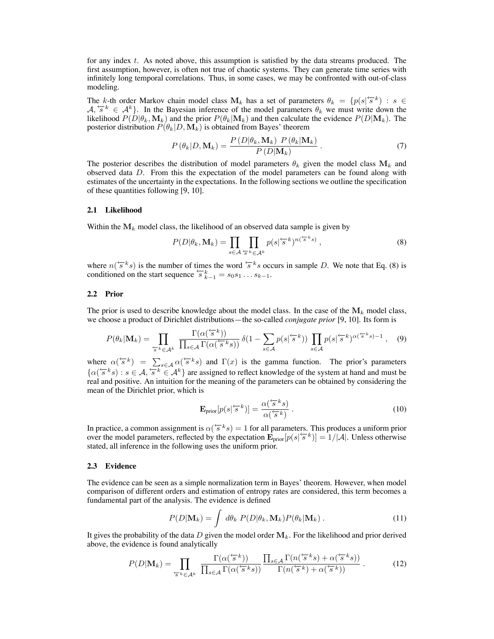for any index t. As noted above, this assumption is satisfied by the data streams produced. The first assumption, however, is often not true of chaotic systems. They can generate time series with infinitely long temporal correlations. Thus, in some cases, we may be confronted with out-of-class modeling.

The k-th order Markov chain model class  $M_k$  has a set of parameters  $\theta_k = \{p(s | \overline{s}^k) : s \in$  $A, \overline{s}^k \in A^k$ . In the Bayesian inference of the model parameters  $\theta_k$  we must write down the likelihood  $P(D|\theta_k, \mathbf{M}_k)$  and the prior  $P(\theta_k|\mathbf{M}_k)$  and then calculate the evidence  $P(D|\mathbf{M}_k)$ . The posterior distribution  $P(\theta_k|D, \mathbf{M}_k)$  is obtained from Bayes' theorem

$$
P(\theta_k|D, \mathbf{M}_k) = \frac{P(D|\theta_k, \mathbf{M}_k) P(\theta_k|\mathbf{M}_k)}{P(D|\mathbf{M}_k)}.
$$
\n(7)

The posterior describes the distribution of model parameters  $\theta_k$  given the model class  $M_k$  and observed data D. From this the expectation of the model parameters can be found along with estimates of the uncertainty in the expectations. In the following sections we outline the specification of these quantities following [9, 10].

#### **2.1 Likelihood**

Within the  $M_k$  model class, the likelihood of an observed data sample is given by

$$
P(D|\theta_k, \mathbf{M}_k) = \prod_{s \in \mathcal{A}} \prod_{s^k \in \mathcal{A}^k} p(s|^{\langle s^k \rangle}^{n(\langle s^k s \rangle)}, \tag{8}
$$

where  $n(\overline{s}^k s)$  is the number of times the word  $\overline{s}^k s$  occurs in sample D. We note that Eq. (8) is conditioned on the start sequence  $\overline{s}_{k-1}^k = s_0s_1 \dots s_{k-1}$ .

#### **2.2 Prior**

The prior is used to describe knowledge about the model class. In the case of the  $M_k$  model class, we choose a product of Dirichlet distributions—the so-called *conjugate prior* [9, 10]. Its form is

$$
P(\theta_k|\mathbf{M}_k) = \prod_{\varsigma \in \mathcal{A}^k} \frac{\Gamma(\alpha(\overleftq\epsilon^k))}{\prod_{s \in \mathcal{A}} \Gamma(\alpha(\overleftq\epsilon^k s))} \delta(1 - \sum_{s \in \mathcal{A}} p(s|\overleftq\epsilon^k)) \prod_{s \in \mathcal{A}} p(s|\overleftq\epsilon^k)^{\alpha(\overleftq\epsilon^k s) - 1}, \quad (9)
$$

where  $\alpha(\overline{s}^k) = \sum_{s \in A} \alpha(\overline{s}^k s)$  and  $\Gamma(x)$  is the gamma function. The prior's parameters  $\{\alpha(\overline{s}^k s) : s \in A, \overline{s^k \in A^k}\}\$ are assigned to reflect knowledge of the system at hand and must be real and positive. An intuition for the meaning of the parameters can be obtained by considering the mean of the Dirichlet prior, which is

$$
\mathbf{E}_{\text{prior}}[p(s|\mathbf{s}^k)] = \frac{\alpha(\mathbf{s}^k s)}{\alpha(\mathbf{s}^k)}.
$$
\n(10)

In practice, a common assignment is  $\alpha(\overleftarrow{s}^k s) = 1$  for all parameters. This produces a uniform prior over the model parameters, reflected by the expectation  $\mathbf{E}_{prior}[p(s|\mathcal{F}^k)] = 1/|\mathcal{A}|$ . Unless otherwise stated, all inference in the following uses the uniform prior.

### **2.3 Evidence**

The evidence can be seen as a simple normalization term in Bayes' theorem. However, when model comparison of different orders and estimation of entropy rates are considered, this term becomes a fundamental part of the analysis. The evidence is defined

$$
P(D|\mathbf{M}_k) = \int d\theta_k \ P(D|\theta_k, \mathbf{M}_k) P(\theta_k|\mathbf{M}_k) . \qquad (11)
$$

It gives the probability of the data D given the model order  $M_k$ . For the likelihood and prior derived above, the evidence is found analytically

$$
P(D|\mathbf{M}_{k}) = \prod_{\varsigma \in \mathcal{A}^{k}} \frac{\Gamma(\alpha(\varsigma^{k}))}{\prod_{s \in \mathcal{A}} \Gamma(\alpha(\varsigma^{k}s))} \frac{\prod_{s \in \mathcal{A}} \Gamma(n(\varsigma^{k}s) + \alpha(\varsigma^{k}s))}{\Gamma(n(\varsigma^{k}) + \alpha(\varsigma^{k}))}.
$$
 (12)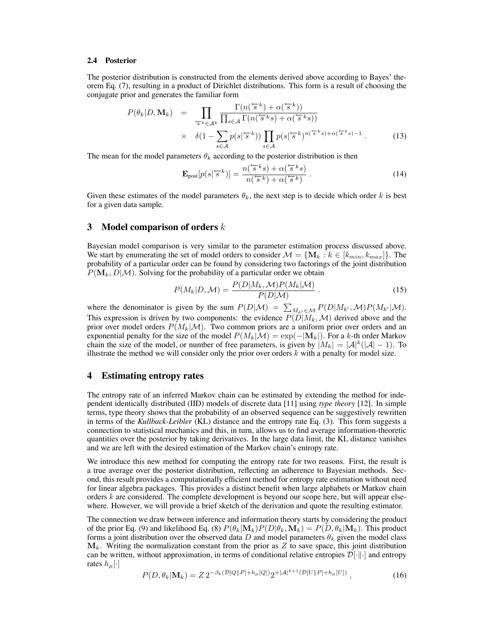#### **2.4 Posterior**

The posterior distribution is constructed from the elements derived above according to Bayes' theorem Eq. (7), resulting in a product of Dirichlet distributions. This form is a result of choosing the conjugate prior and generates the familiar form

$$
P(\theta_k|D, \mathbf{M}_k) = \prod_{\substack{\tau_s \in \mathcal{A}^k}} \frac{\Gamma(n(\tau_s^k) + \alpha(\tau_s^k))}{\prod_{s \in \mathcal{A}} \Gamma(n(\tau_s^k s) + \alpha(\tau_s^k s))} \times \delta(1 - \sum_{s \in \mathcal{A}} p(s|\tau_s^k)) \prod_{s \in \mathcal{A}} p(s|\tau_s^k)^{n(\tau_s^k s) + \alpha(\tau_s^k s) - 1}.
$$
 (13)

The mean for the model parameters  $\theta_k$  according to the posterior distribution is then

$$
\mathbf{E}_{\text{post}}[p(s|\mathbf{F}^{k})] = \frac{n(\mathbf{F}^{k}s) + \alpha(\mathbf{F}^{k}s)}{n(\mathbf{F}^{k}) + \alpha(\mathbf{F}^{k})}.
$$
\n(14)

Given these estimates of the model parameters  $\theta_k$ , the next step is to decide which order k is best for a given data sample.

## **3 Model comparison of orders** k

Bayesian model comparison is very similar to the parameter estimation process discussed above. We start by enumerating the set of model orders to consider  $\mathcal{M} = \{ \mathbf{M}_k : k \in [k_{min}, k_{max}] \}$ . The probability of a particular order can be found by considering two factorings of the joint distribution  $P(\mathbf{M}_k, D|M)$ . Solving for the probability of a particular order we obtain

$$
P(M_k|D, \mathcal{M}) = \frac{P(D|M_k, \mathcal{M})P(M_k|\mathcal{M})}{P(D|\mathcal{M})} \,. \tag{15}
$$

where the denominator is given by the sum  $P(D|M) = \sum_{M_{k'} \in \mathcal{M}} P(D|M_{k'},\mathcal{M})P(M_{k'}|\mathcal{M}).$ This expression is driven by two components: the evidence  $P(\tilde{D}|M_k,\mathcal{M})$  derived above and the prior over model orders  $P(M_k|M)$ . Two common priors are a uniform prior over orders and an exponential penalty for the size of the model  $P(M_k|M) = \exp(-|M_k|)$ . For a k-th order Markov chain the size of the model, or number of free parameters, is given by  $|M_k| = |\mathcal{A}|^k(|\mathcal{A}| - 1)$ . To illustrate the method we will consider only the prior over orders  $k$  with a penalty for model size.

### **4 Estimating entropy rates**

The entropy rate of an inferred Markov chain can be estimated by extending the method for independent identically distributed (IID) models of discrete data [11] using *type theory* [12]. In simple terms, type theory shows that the probability of an observed sequence can be suggestively rewritten in terms of the *Kullback-Leibler* (KL) distance and the entropy rate Eq. (3). This form suggests a connection to statistical mechanics and this, in turn, allows us to find average information-theoretic quantities over the posterior by taking derivatives. In the large data limit, the KL distance vanishes and we are left with the desired estimation of the Markov chain's entropy rate.

We introduce this new method for computing the entropy rate for two reasons. First, the result is a true average over the posterior distribution, reflecting an adherence to Bayesian methods. Second, this result provides a computationally efficient method for entropy rate estimation without need for linear algebra packages. This provides a distinct benefit when large alphabets or Markov chain orders k are considered. The complete development is beyond our scope here, but will appear elsewhere. However, we will provide a brief sketch of the derivation and quote the resulting estimator.

The connection we draw between inference and information theory starts by considering the product of the prior Eq. (9) and likelihood Eq. (8)  $P(\theta_k|\mathbf{M}_k)P(D|\theta_k,\mathbf{M}_k) = P(D,\theta_k|\mathbf{M}_k)$ . This product forms a joint distribution over the observed data D and model parameters  $\theta_k$  given the model class  $M_k$ . Writing the normalization constant from the prior as  $Z$  to save space, this joint distribution can be written, without approximation, in terms of conditional relative entropies  $\mathcal{D}[\cdot|\cdot]$  and entropy rates  $h_\mu[\cdot]$ 

$$
P(D, \theta_k | \mathbf{M}_k) = Z 2^{-\beta_k (D[Q||P] + h_\mu[Q])} 2^{+|\mathcal{A}|^{k+1} (D[U||P] + h_\mu[U])}, \qquad (16)
$$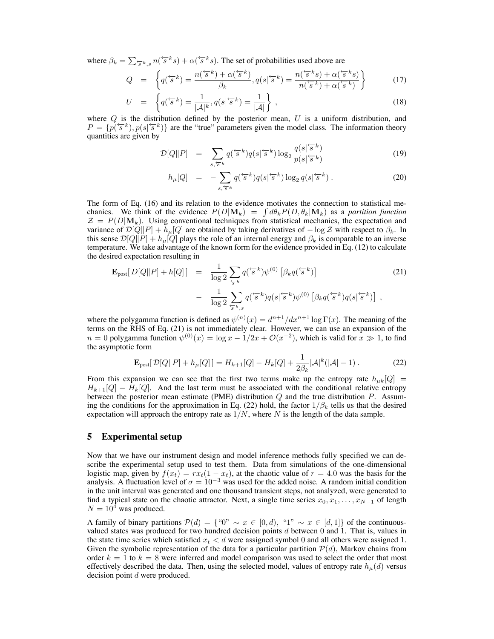where  $\beta_k = \sum_{s \in \kappa, s} n(\overleftarrow{s}^k s) + \alpha(\overleftarrow{s}^k s)$ . The set of probabilities used above are

$$
Q = \left\{ q^{\left(\frac{\cdot}{s}k\right)} = \frac{n^{\left(\frac{\cdot}{s}k\right)} + \alpha^{\left(\frac{\cdot}{s}k\right)}}{\beta_k}, q(s^{\left|\frac{\cdot}{s}k\right)} = \frac{n^{\left(\frac{\cdot}{s}k\right)} + \alpha^{\left(\frac{\cdot}{s}k\right)}}{n^{\left(\frac{\cdot}{s}k\right)} + \alpha^{\left(\frac{\cdot}{s}k\right)}} \right\} \tag{17}
$$

$$
U = \left\{ q^{\left( \frac{k-k}{s} \right)} = \frac{1}{|\mathcal{A}|^k}, q(s | \mathcal{F}^k) = \frac{1}{|\mathcal{A}|} \right\},\tag{18}
$$

where  $Q$  is the distribution defined by the posterior mean,  $U$  is a uniform distribution, and  $P = \{p(\overline{s}^k), p(s|\overline{s}^k)\}\$ are the "true" parameters given the model class. The information theory quantities are given by

$$
\mathcal{D}[Q||P] = \sum_{s,\overleftarrow{s}^k} q(\overleftarrow{s}^k) q(s|\overleftarrow{s}^k) \log_2 \frac{q(s|\overleftarrow{s}^k)}{p(s|\overleftarrow{s}^k)} \tag{19}
$$

$$
h_{\mu}[Q] = -\sum_{s,\overleftarrow{s}^k} q^{\left(\overleftarrow{s}^k\right)} q(s|\overleftarrow{s}^k) \log_2 q(s|\overleftarrow{s}^k) \,. \tag{20}
$$

The form of Eq. (16) and its relation to the evidence motivates the connection to statistical mechanics. We think of the evidence  $P(D|\mathbf{M}_k) = \int d\theta_k P(D, \theta_k|\mathbf{M}_k)$  as a *partition function*  $\mathcal{Z} = P(D|\mathbf{M}_k)$ . Using conventional techniques from statistical mechanics, the expectation and variance of  $\mathcal{D}[Q||P] + h_{\mu}[Q]$  are obtained by taking derivatives of  $-\log \mathcal{Z}$  with respect to  $\beta_k$ . In this sense  $\mathcal{D}[Q||P] + h_{\mu}[Q]$  plays the role of an internal energy and  $\beta_k$  is comparable to an inverse temperature. We take advantage of the known form for the evidence provided in Eq. (12) to calculate the desired expectation resulting in

$$
\mathbf{E}_{\text{post}}[D[Q||P] + h[Q]] = \frac{1}{\log 2} \sum_{\overline{s}^k} q(\overline{s}^k) \psi^{(0)} \left[ \beta_k q(\overline{s}^k) \right] \tag{21}
$$
\n
$$
- \frac{1}{\log 2} \sum_{\overline{s}^k, s} q(\overline{s}^k) q(s|\overline{s}^k) \psi^{(0)} \left[ \beta_k q(\overline{s}^k) q(s|\overline{s}^k) \right],
$$

where the polygamma function is defined as  $\psi^{(n)}(x) = d^{n+1}/dx^{n+1} \log \Gamma(x)$ . The meaning of the terms on the RHS of Eq. (21) is not immediately clear. However, we can use an expansion of the  $n = 0$  polygamma function  $\psi^{(0)}(x) = \log x - 1/2x + \mathcal{O}(x^{-2})$ , which is valid for  $x \gg 1$ , to find the asymptotic form

$$
\mathbf{E}_{\text{post}}[\mathcal{D}[Q||P] + h_{\mu}[Q]] = H_{k+1}[Q] - H_k[Q] + \frac{1}{2\beta_k} |\mathcal{A}|^k (|\mathcal{A}| - 1) \,. \tag{22}
$$

From this expansion we can see that the first two terms make up the entropy rate  $h_{\mu k}[Q] =$  $H_{k+1}[Q] - H_k[Q]$ . And the last term must be associated with the conditional relative entropy between the posterior mean estimate (PME) distribution  $Q$  and the true distribution  $P$ . Assuming the conditions for the approximation in Eq. (22) hold, the factor  $1/\beta_k$  tells us that the desired expectation will approach the entropy rate as  $1/N$ , where N is the length of the data sample.

# **5 Experimental setup**

Now that we have our instrument design and model inference methods fully specified we can describe the experimental setup used to test them. Data from simulations of the one-dimensional logistic map, given by  $f(x_t) = rx_t(1 - x_t)$ , at the chaotic value of  $r = 4.0$  was the basis for the analysis. A fluctuation level of  $\sigma = 10^{-3}$  was used for the added noise. A random initial condition in the unit interval was generated and one thousand transient steps, not analyzed, were generated to find a typical state on the chaotic attractor. Next, a single time series  $x_0, x_1, \ldots, x_{N-1}$  of length  $N = 10<sup>4</sup>$  was produced.

A family of binary partitions  $\mathcal{P}(d) = \{``0'' \sim x \in [0,d), "1'' \sim x \in [d,1]\}$  of the continuousvalued states was produced for two hundred decision points  $d$  between  $0$  and  $1$ . That is, values in the state time series which satisfied  $x_t < d$  were assigned symbol 0 and all others were assigned 1. Given the symbolic representation of the data for a particular partition  $P(d)$ , Markov chains from order  $k = 1$  to  $k = 8$  were inferred and model comparison was used to select the order that most effectively described the data. Then, using the selected model, values of entropy rate  $h_{\mu}(d)$  versus decision point d were produced.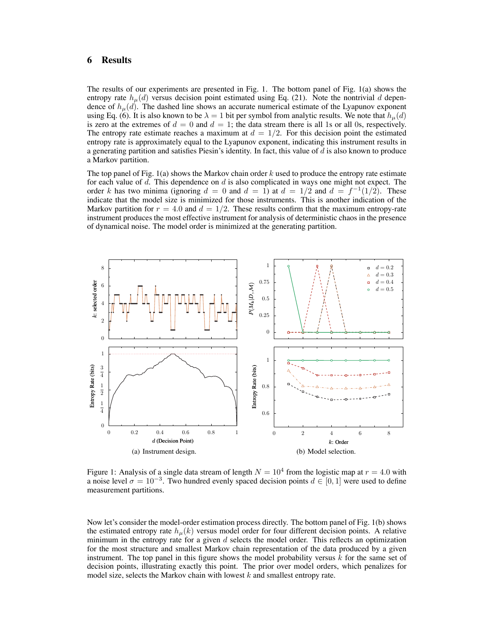# **6 Results**

The results of our experiments are presented in Fig. 1. The bottom panel of Fig. 1(a) shows the entropy rate  $h<sub>u</sub>(d)$  versus decision point estimated using Eq. (21). Note the nontrivial d dependence of  $h<sub>\mu</sub>(d)$ . The dashed line shows an accurate numerical estimate of the Lyapunov exponent using Eq. (6). It is also known to be  $\lambda = 1$  bit per symbol from analytic results. We note that  $h_{\mu}(d)$ is zero at the extremes of  $d = 0$  and  $d = 1$ ; the data stream there is all 1s or all 0s, respectively. The entropy rate estimate reaches a maximum at  $d = 1/2$ . For this decision point the estimated entropy rate is approximately equal to the Lyapunov exponent, indicating this instrument results in a generating partition and satisfies Piesin's identity. In fact, this value of  $d$  is also known to produce a Markov partition.

The top panel of Fig. 1(a) shows the Markov chain order  $k$  used to produce the entropy rate estimate for each value of  $d$ . This dependence on  $d$  is also complicated in ways one might not expect. The order k has two minima (ignoring  $d = 0$  and  $d = 1$ ) at  $d = 1/2$  and  $d = f^{-1}(1/2)$ . These indicate that the model size is minimized for those instruments. This is another indication of the Markov partition for  $r = 4.0$  and  $d = 1/2$ . These results confirm that the maximum entropy-rate instrument produces the most effective instrument for analysis of deterministic chaos in the presence of dynamical noise. The model order is minimized at the generating partition.



Figure 1: Analysis of a single data stream of length  $N = 10^4$  from the logistic map at  $r = 4.0$  with a noise level  $\sigma = 10^{-3}$ . Two hundred evenly spaced decision points  $d \in [0, 1]$  were used to define measurement partitions.

Now let's consider the model-order estimation process directly. The bottom panel of Fig. 1(b) shows the estimated entropy rate  $h_{\mu}(k)$  versus model order for four different decision points. A relative minimum in the entropy rate for a given  $d$  selects the model order. This reflects an optimization for the most structure and smallest Markov chain representation of the data produced by a given instrument. The top panel in this figure shows the model probability versus  $k$  for the same set of decision points, illustrating exactly this point. The prior over model orders, which penalizes for model size, selects the Markov chain with lowest  $k$  and smallest entropy rate.